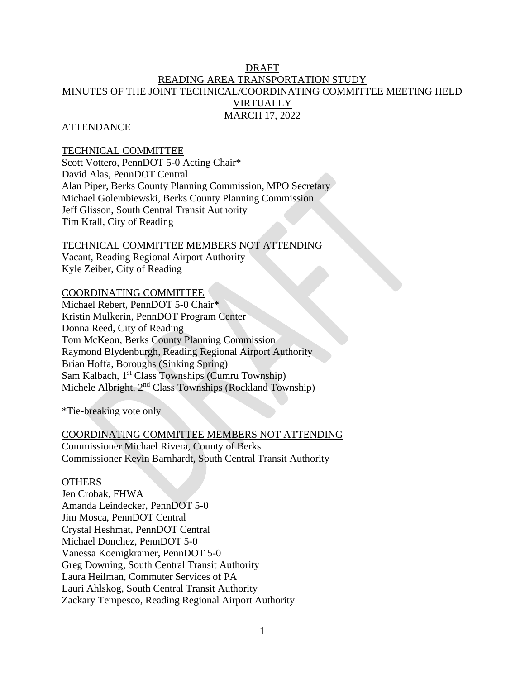# DRAFT READING AREA TRANSPORTATION STUDY MINUTES OF THE JOINT TECHNICAL/COORDINATING COMMITTEE MEETING HELD VIRTUALLY MARCH 17, 2022

### **ATTENDANCE**

### TECHNICAL COMMITTEE

Scott Vottero, PennDOT 5-0 Acting Chair\* David Alas, PennDOT Central Alan Piper, Berks County Planning Commission, MPO Secretary Michael Golembiewski, Berks County Planning Commission Jeff Glisson, South Central Transit Authority Tim Krall, City of Reading

# TECHNICAL COMMITTEE MEMBERS NOT ATTENDING

Vacant, Reading Regional Airport Authority Kyle Zeiber, City of Reading

### COORDINATING COMMITTEE

Michael Rebert, PennDOT 5-0 Chair\* Kristin Mulkerin, PennDOT Program Center Donna Reed, City of Reading Tom McKeon, Berks County Planning Commission Raymond Blydenburgh, Reading Regional Airport Authority Brian Hoffa, Boroughs (Sinking Spring) Sam Kalbach, 1st Class Townships (Cumru Township) Michele Albright, 2<sup>nd</sup> Class Townships (Rockland Township)

\*Tie-breaking vote only

#### COORDINATING COMMITTEE MEMBERS NOT ATTENDING

Commissioner Michael Rivera, County of Berks Commissioner Kevin Barnhardt, South Central Transit Authority

#### **OTHERS**

Jen Crobak, FHWA Amanda Leindecker, PennDOT 5-0 Jim Mosca, PennDOT Central Crystal Heshmat, PennDOT Central Michael Donchez, PennDOT 5-0 Vanessa Koenigkramer, PennDOT 5-0 Greg Downing, South Central Transit Authority Laura Heilman, Commuter Services of PA Lauri Ahlskog, South Central Transit Authority Zackary Tempesco, Reading Regional Airport Authority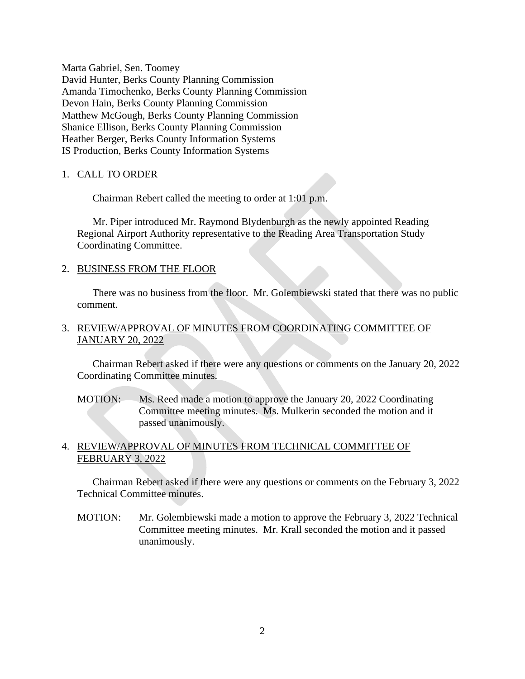Marta Gabriel, Sen. Toomey David Hunter, Berks County Planning Commission Amanda Timochenko, Berks County Planning Commission Devon Hain, Berks County Planning Commission Matthew McGough, Berks County Planning Commission Shanice Ellison, Berks County Planning Commission Heather Berger, Berks County Information Systems IS Production, Berks County Information Systems

### 1. CALL TO ORDER

Chairman Rebert called the meeting to order at 1:01 p.m.

Mr. Piper introduced Mr. Raymond Blydenburgh as the newly appointed Reading Regional Airport Authority representative to the Reading Area Transportation Study Coordinating Committee.

#### 2. BUSINESS FROM THE FLOOR

There was no business from the floor. Mr. Golembiewski stated that there was no public comment.

## 3. REVIEW/APPROVAL OF MINUTES FROM COORDINATING COMMITTEE OF JANUARY 20, 2022

Chairman Rebert asked if there were any questions or comments on the January 20, 2022 Coordinating Committee minutes.

MOTION: Ms. Reed made a motion to approve the January 20, 2022 Coordinating Committee meeting minutes. Ms. Mulkerin seconded the motion and it passed unanimously.

## 4. REVIEW/APPROVAL OF MINUTES FROM TECHNICAL COMMITTEE OF FEBRUARY 3, 2022

Chairman Rebert asked if there were any questions or comments on the February 3, 2022 Technical Committee minutes.

MOTION: Mr. Golembiewski made a motion to approve the February 3, 2022 Technical Committee meeting minutes. Mr. Krall seconded the motion and it passed unanimously.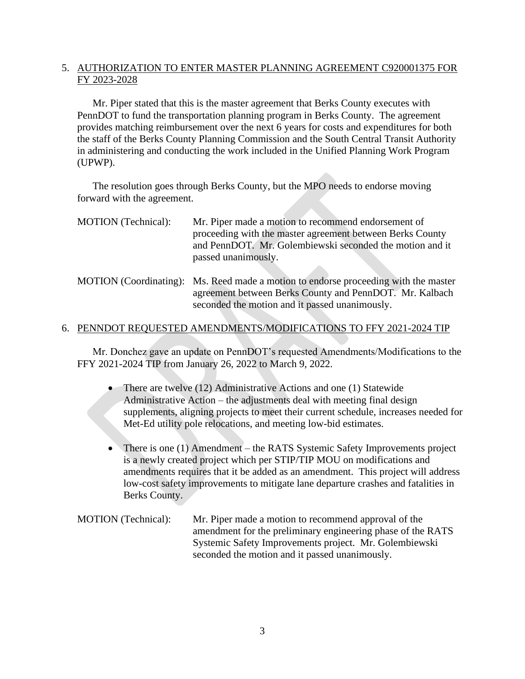# 5. AUTHORIZATION TO ENTER MASTER PLANNING AGREEMENT C920001375 FOR FY 2023-2028

Mr. Piper stated that this is the master agreement that Berks County executes with PennDOT to fund the transportation planning program in Berks County. The agreement provides matching reimbursement over the next 6 years for costs and expenditures for both the staff of the Berks County Planning Commission and the South Central Transit Authority in administering and conducting the work included in the Unified Planning Work Program (UPWP).

The resolution goes through Berks County, but the MPO needs to endorse moving forward with the agreement.

| MOTION (Technical): | Mr. Piper made a motion to recommend endorsement of<br>proceeding with the master agreement between Berks County<br>and PennDOT. Mr. Golembiewski seconded the motion and it<br>passed unanimously. |
|---------------------|-----------------------------------------------------------------------------------------------------------------------------------------------------------------------------------------------------|
|                     | MOTION (Coordinating): Ms. Reed made a motion to endorse proceeding with the master<br>agreement between Berks County and PennDOT. Mr. Kalbach<br>seconded the motion and it passed unanimously.    |

## 6. PENNDOT REQUESTED AMENDMENTS/MODIFICATIONS TO FFY 2021-2024 TIP

Mr. Donchez gave an update on PennDOT's requested Amendments/Modifications to the FFY 2021-2024 TIP from January 26, 2022 to March 9, 2022.

- There are twelve (12) Administrative Actions and one (1) Statewide Administrative Action – the adjustments deal with meeting final design supplements, aligning projects to meet their current schedule, increases needed for Met-Ed utility pole relocations, and meeting low-bid estimates.
- There is one (1) Amendment the RATS Systemic Safety Improvements project is a newly created project which per STIP/TIP MOU on modifications and amendments requires that it be added as an amendment. This project will address low-cost safety improvements to mitigate lane departure crashes and fatalities in Berks County.
- MOTION (Technical): Mr. Piper made a motion to recommend approval of the amendment for the preliminary engineering phase of the RATS Systemic Safety Improvements project. Mr. Golembiewski seconded the motion and it passed unanimously.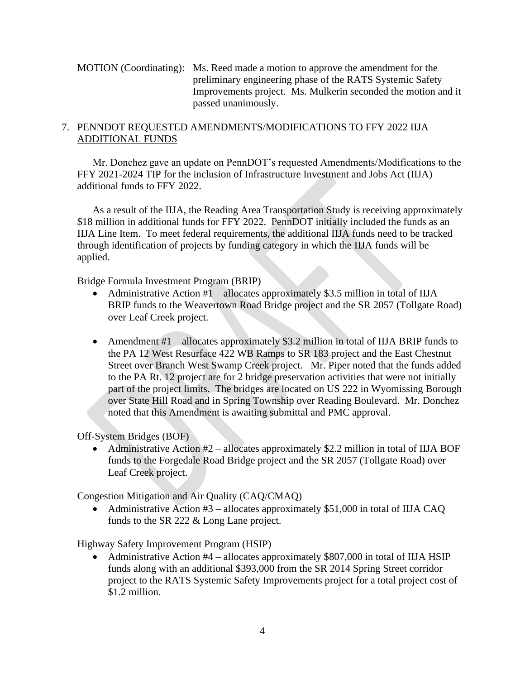MOTION (Coordinating): Ms. Reed made a motion to approve the amendment for the preliminary engineering phase of the RATS Systemic Safety Improvements project. Ms. Mulkerin seconded the motion and it passed unanimously.

# 7. PENNDOT REQUESTED AMENDMENTS/MODIFICATIONS TO FFY 2022 IIJA ADDITIONAL FUNDS

Mr. Donchez gave an update on PennDOT's requested Amendments/Modifications to the FFY 2021-2024 TIP for the inclusion of Infrastructure Investment and Jobs Act (IIJA) additional funds to FFY 2022.

As a result of the IIJA, the Reading Area Transportation Study is receiving approximately \$18 million in additional funds for FFY 2022. PennDOT initially included the funds as an IIJA Line Item. To meet federal requirements, the additional IIJA funds need to be tracked through identification of projects by funding category in which the IIJA funds will be applied.

Bridge Formula Investment Program (BRIP)

- Administrative Action  $#1$  allocates approximately \$3.5 million in total of IIJA BRIP funds to the Weavertown Road Bridge project and the SR 2057 (Tollgate Road) over Leaf Creek project.
- Amendment #1 allocates approximately \$3.2 million in total of IIJA BRIP funds to the PA 12 West Resurface 422 WB Ramps to SR 183 project and the East Chestnut Street over Branch West Swamp Creek project. Mr. Piper noted that the funds added to the PA Rt. 12 project are for 2 bridge preservation activities that were not initially part of the project limits. The bridges are located on US 222 in Wyomissing Borough over State Hill Road and in Spring Township over Reading Boulevard. Mr. Donchez noted that this Amendment is awaiting submittal and PMC approval.

Off-System Bridges (BOF)

• Administrative Action  $#2$  – allocates approximately \$2.2 million in total of IIJA BOF funds to the Forgedale Road Bridge project and the SR 2057 (Tollgate Road) over Leaf Creek project.

Congestion Mitigation and Air Quality (CAQ/CMAQ)

• Administrative Action  $#3$  – allocates approximately \$51,000 in total of IIJA CAQ funds to the SR 222 & Long Lane project.

Highway Safety Improvement Program (HSIP)

• Administrative Action #4 – allocates approximately \$807,000 in total of IIJA HSIP funds along with an additional \$393,000 from the SR 2014 Spring Street corridor project to the RATS Systemic Safety Improvements project for a total project cost of \$1.2 million.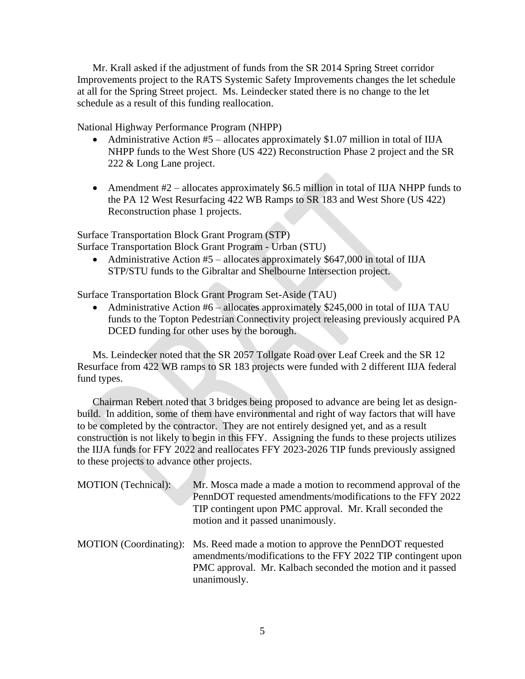Mr. Krall asked if the adjustment of funds from the SR 2014 Spring Street corridor Improvements project to the RATS Systemic Safety Improvements changes the let schedule at all for the Spring Street project. Ms. Leindecker stated there is no change to the let schedule as a result of this funding reallocation.

National Highway Performance Program (NHPP)

- Administrative Action #5 allocates approximately \$1.07 million in total of IIJA NHPP funds to the West Shore (US 422) Reconstruction Phase 2 project and the SR 222 & Long Lane project.
- Amendment #2 allocates approximately \$6.5 million in total of IIJA NHPP funds to the PA 12 West Resurfacing 422 WB Ramps to SR 183 and West Shore (US 422) Reconstruction phase 1 projects.

Surface Transportation Block Grant Program (STP)

Surface Transportation Block Grant Program - Urban (STU)

• Administrative Action  $#5$  – allocates approximately \$647,000 in total of IIJA STP/STU funds to the Gibraltar and Shelbourne Intersection project.

Surface Transportation Block Grant Program Set-Aside (TAU)

• Administrative Action #6 – allocates approximately \$245,000 in total of IIJA TAU funds to the Topton Pedestrian Connectivity project releasing previously acquired PA DCED funding for other uses by the borough.

Ms. Leindecker noted that the SR 2057 Tollgate Road over Leaf Creek and the SR 12 Resurface from 422 WB ramps to SR 183 projects were funded with 2 different IIJA federal fund types.

Chairman Rebert noted that 3 bridges being proposed to advance are being let as designbuild. In addition, some of them have environmental and right of way factors that will have to be completed by the contractor. They are not entirely designed yet, and as a result construction is not likely to begin in this FFY. Assigning the funds to these projects utilizes the IIJA funds for FFY 2022 and reallocates FFY 2023-2026 TIP funds previously assigned to these projects to advance other projects.

| MOTION (Technical): | Mr. Mosca made a made a motion to recommend approval of the<br>PennDOT requested amendments/modifications to the FFY 2022<br>TIP contingent upon PMC approval. Mr. Krall seconded the<br>motion and it passed unanimously.    |
|---------------------|-------------------------------------------------------------------------------------------------------------------------------------------------------------------------------------------------------------------------------|
|                     | MOTION (Coordinating): Ms. Reed made a motion to approve the PennDOT requested<br>amendments/modifications to the FFY 2022 TIP contingent upon<br>PMC approval. Mr. Kalbach seconded the motion and it passed<br>unanimously. |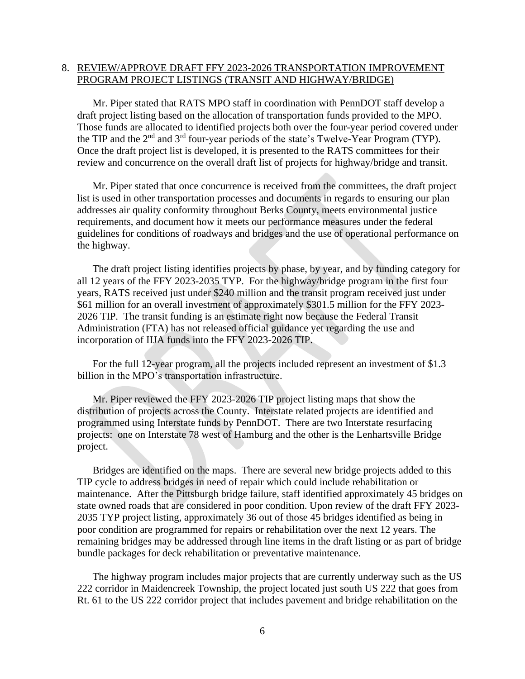#### 8. REVIEW/APPROVE DRAFT FFY 2023-2026 TRANSPORTATION IMPROVEMENT PROGRAM PROJECT LISTINGS (TRANSIT AND HIGHWAY/BRIDGE)

Mr. Piper stated that RATS MPO staff in coordination with PennDOT staff develop a draft project listing based on the allocation of transportation funds provided to the MPO. Those funds are allocated to identified projects both over the four-year period covered under the TIP and the 2<sup>nd</sup> and 3<sup>rd</sup> four-year periods of the state's Twelve-Year Program (TYP). Once the draft project list is developed, it is presented to the RATS committees for their review and concurrence on the overall draft list of projects for highway/bridge and transit.

Mr. Piper stated that once concurrence is received from the committees, the draft project list is used in other transportation processes and documents in regards to ensuring our plan addresses air quality conformity throughout Berks County, meets environmental justice requirements, and document how it meets our performance measures under the federal guidelines for conditions of roadways and bridges and the use of operational performance on the highway.

The draft project listing identifies projects by phase, by year, and by funding category for all 12 years of the FFY 2023-2035 TYP. For the highway/bridge program in the first four years, RATS received just under \$240 million and the transit program received just under \$61 million for an overall investment of approximately \$301.5 million for the FFY 2023- 2026 TIP. The transit funding is an estimate right now because the Federal Transit Administration (FTA) has not released official guidance yet regarding the use and incorporation of IIJA funds into the FFY 2023-2026 TIP.

For the full 12-year program, all the projects included represent an investment of \$1.3 billion in the MPO's transportation infrastructure.

Mr. Piper reviewed the FFY 2023-2026 TIP project listing maps that show the distribution of projects across the County. Interstate related projects are identified and programmed using Interstate funds by PennDOT. There are two Interstate resurfacing projects: one on Interstate 78 west of Hamburg and the other is the Lenhartsville Bridge project.

Bridges are identified on the maps. There are several new bridge projects added to this TIP cycle to address bridges in need of repair which could include rehabilitation or maintenance. After the Pittsburgh bridge failure, staff identified approximately 45 bridges on state owned roads that are considered in poor condition. Upon review of the draft FFY 2023- 2035 TYP project listing, approximately 36 out of those 45 bridges identified as being in poor condition are programmed for repairs or rehabilitation over the next 12 years. The remaining bridges may be addressed through line items in the draft listing or as part of bridge bundle packages for deck rehabilitation or preventative maintenance.

The highway program includes major projects that are currently underway such as the US 222 corridor in Maidencreek Township, the project located just south US 222 that goes from Rt. 61 to the US 222 corridor project that includes pavement and bridge rehabilitation on the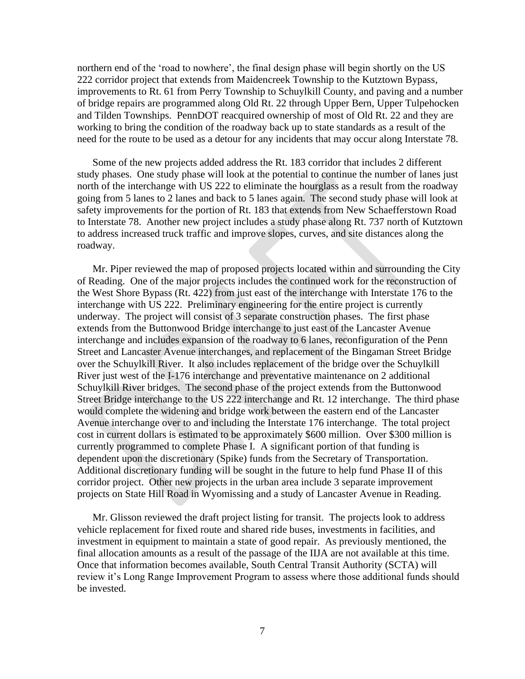northern end of the 'road to nowhere', the final design phase will begin shortly on the US 222 corridor project that extends from Maidencreek Township to the Kutztown Bypass, improvements to Rt. 61 from Perry Township to Schuylkill County, and paving and a number of bridge repairs are programmed along Old Rt. 22 through Upper Bern, Upper Tulpehocken and Tilden Townships. PennDOT reacquired ownership of most of Old Rt. 22 and they are working to bring the condition of the roadway back up to state standards as a result of the need for the route to be used as a detour for any incidents that may occur along Interstate 78.

Some of the new projects added address the Rt. 183 corridor that includes 2 different study phases. One study phase will look at the potential to continue the number of lanes just north of the interchange with US 222 to eliminate the hourglass as a result from the roadway going from 5 lanes to 2 lanes and back to 5 lanes again. The second study phase will look at safety improvements for the portion of Rt. 183 that extends from New Schaefferstown Road to Interstate 78. Another new project includes a study phase along Rt. 737 north of Kutztown to address increased truck traffic and improve slopes, curves, and site distances along the roadway.

Mr. Piper reviewed the map of proposed projects located within and surrounding the City of Reading. One of the major projects includes the continued work for the reconstruction of the West Shore Bypass (Rt. 422) from just east of the interchange with Interstate 176 to the interchange with US 222. Preliminary engineering for the entire project is currently underway. The project will consist of 3 separate construction phases. The first phase extends from the Buttonwood Bridge interchange to just east of the Lancaster Avenue interchange and includes expansion of the roadway to 6 lanes, reconfiguration of the Penn Street and Lancaster Avenue interchanges, and replacement of the Bingaman Street Bridge over the Schuylkill River. It also includes replacement of the bridge over the Schuylkill River just west of the I-176 interchange and preventative maintenance on 2 additional Schuylkill River bridges. The second phase of the project extends from the Buttonwood Street Bridge interchange to the US 222 interchange and Rt. 12 interchange. The third phase would complete the widening and bridge work between the eastern end of the Lancaster Avenue interchange over to and including the Interstate 176 interchange. The total project cost in current dollars is estimated to be approximately \$600 million. Over \$300 million is currently programmed to complete Phase I. A significant portion of that funding is dependent upon the discretionary (Spike) funds from the Secretary of Transportation. Additional discretionary funding will be sought in the future to help fund Phase II of this corridor project. Other new projects in the urban area include 3 separate improvement projects on State Hill Road in Wyomissing and a study of Lancaster Avenue in Reading.

Mr. Glisson reviewed the draft project listing for transit. The projects look to address vehicle replacement for fixed route and shared ride buses, investments in facilities, and investment in equipment to maintain a state of good repair. As previously mentioned, the final allocation amounts as a result of the passage of the IIJA are not available at this time. Once that information becomes available, South Central Transit Authority (SCTA) will review it's Long Range Improvement Program to assess where those additional funds should be invested.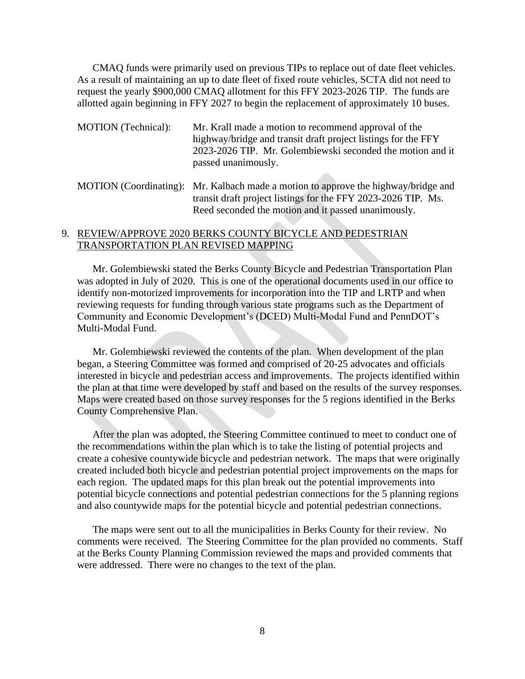CMAQ funds were primarily used on previous TIPs to replace out of date fleet vehicles. As a result of maintaining an up to date fleet of fixed route vehicles, SCTA did not need to request the yearly \$900,000 CMAQ allotment for this FFY 2023-2026 TIP. The funds are allotted again beginning in FFY 2027 to begin the replacement of approximately 10 buses.

- MOTION (Technical): Mr. Krall made a motion to recommend approval of the highway/bridge and transit draft project listings for the FFY 2023-2026 TIP. Mr. Golembiewski seconded the motion and it passed unanimously.
- MOTION (Coordinating): Mr. Kalbach made a motion to approve the highway/bridge and transit draft project listings for the FFY 2023-2026 TIP. Ms. Reed seconded the motion and it passed unanimously.

### 9. REVIEW/APPROVE 2020 BERKS COUNTY BICYCLE AND PEDESTRIAN TRANSPORTATION PLAN REVISED MAPPING

Mr. Golembiewski stated the Berks County Bicycle and Pedestrian Transportation Plan was adopted in July of 2020. This is one of the operational documents used in our office to identify non-motorized improvements for incorporation into the TIP and LRTP and when reviewing requests for funding through various state programs such as the Department of Community and Economic Development's (DCED) Multi-Modal Fund and PennDOT's Multi-Modal Fund.

Mr. Golembiewski reviewed the contents of the plan. When development of the plan began, a Steering Committee was formed and comprised of 20-25 advocates and officials interested in bicycle and pedestrian access and improvements. The projects identified within the plan at that time were developed by staff and based on the results of the survey responses. Maps were created based on those survey responses for the 5 regions identified in the Berks County Comprehensive Plan.

After the plan was adopted, the Steering Committee continued to meet to conduct one of the recommendations within the plan which is to take the listing of potential projects and create a cohesive countywide bicycle and pedestrian network. The maps that were originally created included both bicycle and pedestrian potential project improvements on the maps for each region. The updated maps for this plan break out the potential improvements into potential bicycle connections and potential pedestrian connections for the 5 planning regions and also countywide maps for the potential bicycle and potential pedestrian connections.

The maps were sent out to all the municipalities in Berks County for their review. No comments were received. The Steering Committee for the plan provided no comments. Staff at the Berks County Planning Commission reviewed the maps and provided comments that were addressed. There were no changes to the text of the plan.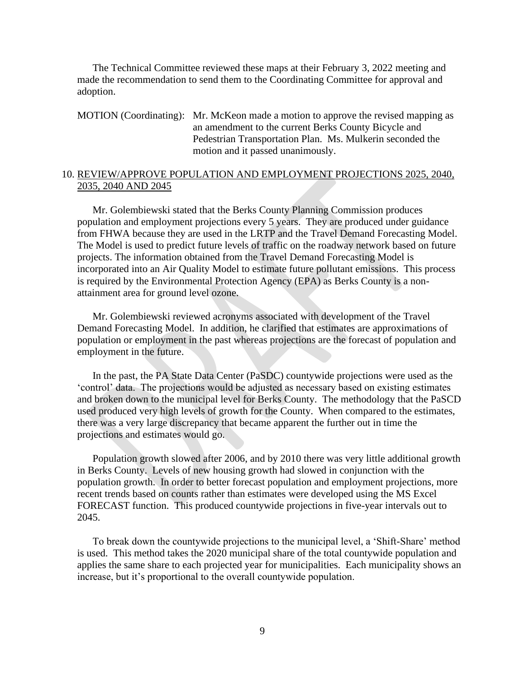The Technical Committee reviewed these maps at their February 3, 2022 meeting and made the recommendation to send them to the Coordinating Committee for approval and adoption.

MOTION (Coordinating): Mr. McKeon made a motion to approve the revised mapping as an amendment to the current Berks County Bicycle and Pedestrian Transportation Plan. Ms. Mulkerin seconded the motion and it passed unanimously.

#### 10. REVIEW/APPROVE POPULATION AND EMPLOYMENT PROJECTIONS 2025, 2040, 2035, 2040 AND 2045

Mr. Golembiewski stated that the Berks County Planning Commission produces population and employment projections every 5 years. They are produced under guidance from FHWA because they are used in the LRTP and the Travel Demand Forecasting Model. The Model is used to predict future levels of traffic on the roadway network based on future projects. The information obtained from the Travel Demand Forecasting Model is incorporated into an Air Quality Model to estimate future pollutant emissions. This process is required by the Environmental Protection Agency (EPA) as Berks County is a nonattainment area for ground level ozone.

Mr. Golembiewski reviewed acronyms associated with development of the Travel Demand Forecasting Model. In addition, he clarified that estimates are approximations of population or employment in the past whereas projections are the forecast of population and employment in the future.

In the past, the PA State Data Center (PaSDC) countywide projections were used as the 'control' data. The projections would be adjusted as necessary based on existing estimates and broken down to the municipal level for Berks County. The methodology that the PaSCD used produced very high levels of growth for the County. When compared to the estimates, there was a very large discrepancy that became apparent the further out in time the projections and estimates would go.

Population growth slowed after 2006, and by 2010 there was very little additional growth in Berks County. Levels of new housing growth had slowed in conjunction with the population growth. In order to better forecast population and employment projections, more recent trends based on counts rather than estimates were developed using the MS Excel FORECAST function. This produced countywide projections in five-year intervals out to 2045.

To break down the countywide projections to the municipal level, a 'Shift-Share' method is used. This method takes the 2020 municipal share of the total countywide population and applies the same share to each projected year for municipalities. Each municipality shows an increase, but it's proportional to the overall countywide population.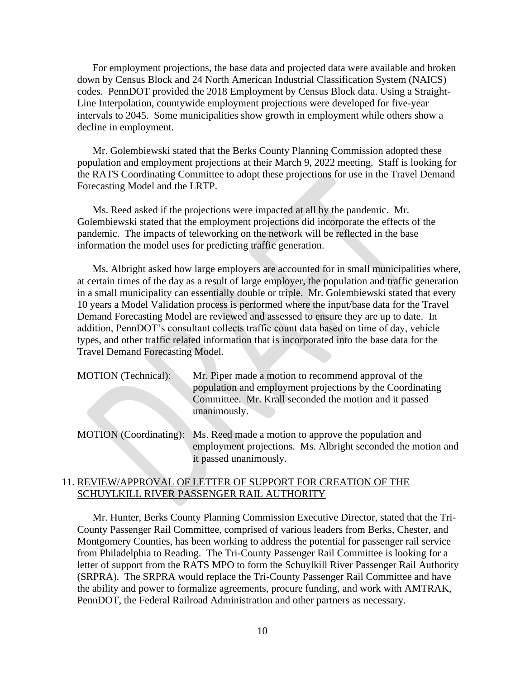For employment projections, the base data and projected data were available and broken down by Census Block and 24 North American Industrial Classification System (NAICS) codes. PennDOT provided the 2018 Employment by Census Block data. Using a Straight-Line Interpolation, countywide employment projections were developed for five-year intervals to 2045. Some municipalities show growth in employment while others show a decline in employment.

Mr. Golembiewski stated that the Berks County Planning Commission adopted these population and employment projections at their March 9, 2022 meeting. Staff is looking for the RATS Coordinating Committee to adopt these projections for use in the Travel Demand Forecasting Model and the LRTP.

Ms. Reed asked if the projections were impacted at all by the pandemic. Mr. Golembiewski stated that the employment projections did incorporate the effects of the pandemic. The impacts of teleworking on the network will be reflected in the base information the model uses for predicting traffic generation.

Ms. Albright asked how large employers are accounted for in small municipalities where, at certain times of the day as a result of large employer, the population and traffic generation in a small municipality can essentially double or triple. Mr. Golembiewski stated that every 10 years a Model Validation process is performed where the input/base data for the Travel Demand Forecasting Model are reviewed and assessed to ensure they are up to date. In addition, PennDOT's consultant collects traffic count data based on time of day, vehicle types, and other traffic related information that is incorporated into the base data for the Travel Demand Forecasting Model.

| <b>MOTION</b> (Technical): | Mr. Piper made a motion to recommend approval of the      |
|----------------------------|-----------------------------------------------------------|
|                            | population and employment projections by the Coordinating |
|                            | Committee. Mr. Krall seconded the motion and it passed    |
|                            | unanimously.                                              |

MOTION (Coordinating): Ms. Reed made a motion to approve the population and employment projections. Ms. Albright seconded the motion and it passed unanimously.

#### 11. REVIEW/APPROVAL OF LETTER OF SUPPORT FOR CREATION OF THE SCHUYLKILL RIVER PASSENGER RAIL AUTHORITY

Mr. Hunter, Berks County Planning Commission Executive Director, stated that the Tri-County Passenger Rail Committee, comprised of various leaders from Berks, Chester, and Montgomery Counties, has been working to address the potential for passenger rail service from Philadelphia to Reading. The Tri-County Passenger Rail Committee is looking for a letter of support from the RATS MPO to form the Schuylkill River Passenger Rail Authority (SRPRA). The SRPRA would replace the Tri-County Passenger Rail Committee and have the ability and power to formalize agreements, procure funding, and work with AMTRAK, PennDOT, the Federal Railroad Administration and other partners as necessary.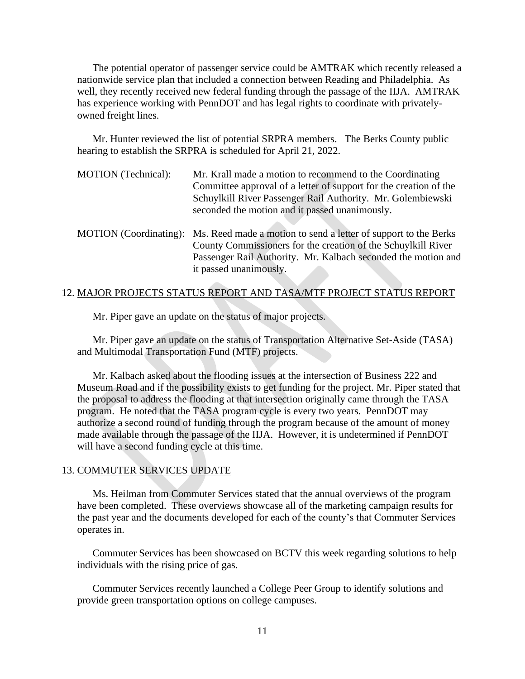The potential operator of passenger service could be AMTRAK which recently released a nationwide service plan that included a connection between Reading and Philadelphia. As well, they recently received new federal funding through the passage of the IIJA. AMTRAK has experience working with PennDOT and has legal rights to coordinate with privatelyowned freight lines.

Mr. Hunter reviewed the list of potential SRPRA members. The Berks County public hearing to establish the SRPRA is scheduled for April 21, 2022.

| MOTION (Technical): | Mr. Krall made a motion to recommend to the Coordinating<br>Committee approval of a letter of support for the creation of the<br>Schuylkill River Passenger Rail Authority. Mr. Golembiewski<br>seconded the motion and it passed unanimously.     |
|---------------------|----------------------------------------------------------------------------------------------------------------------------------------------------------------------------------------------------------------------------------------------------|
|                     | MOTION (Coordinating): Ms. Reed made a motion to send a letter of support to the Berks<br>County Commissioners for the creation of the Schuylkill River<br>Passenger Rail Authority. Mr. Kalbach seconded the motion and<br>it passed unanimously. |

#### 12. MAJOR PROJECTS STATUS REPORT AND TASA/MTF PROJECT STATUS REPORT

Mr. Piper gave an update on the status of major projects.

Mr. Piper gave an update on the status of Transportation Alternative Set-Aside (TASA) and Multimodal Transportation Fund (MTF) projects.

Mr. Kalbach asked about the flooding issues at the intersection of Business 222 and Museum Road and if the possibility exists to get funding for the project. Mr. Piper stated that the proposal to address the flooding at that intersection originally came through the TASA program. He noted that the TASA program cycle is every two years. PennDOT may authorize a second round of funding through the program because of the amount of money made available through the passage of the IIJA. However, it is undetermined if PennDOT will have a second funding cycle at this time.

#### 13. COMMUTER SERVICES UPDATE

Ms. Heilman from Commuter Services stated that the annual overviews of the program have been completed. These overviews showcase all of the marketing campaign results for the past year and the documents developed for each of the county's that Commuter Services operates in.

Commuter Services has been showcased on BCTV this week regarding solutions to help individuals with the rising price of gas.

Commuter Services recently launched a College Peer Group to identify solutions and provide green transportation options on college campuses.